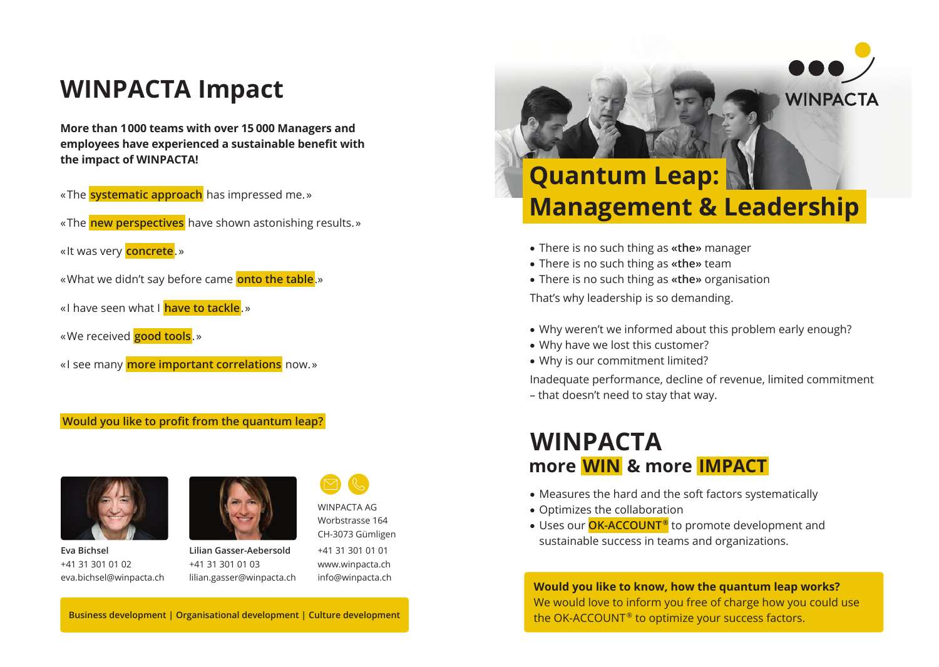#### **WINPACTA Impact**

**More than 1 000 teams with over 15 000 Managers and employees have experienced a sustainable benefit with the impact of WINPACTA!**

- « The **systematic approach** has impressed me. »
- « The **new perspectives** have shown astonishing results. »
- « It was very **concrete**. »
- « What we didn't say before came **onto the table**.»
- « I have seen what I **have to tackle**. »
- « We received **good tools**. »
- « I see many **more important correlations** now. »

#### **Would you like to profit from the quantum leap?**



**Eva Bichsel** +41 31 301 01 02 eva.bichsel@winpacta.ch



**Lilian Gasser-Aebersold** +41 31 301 01 03 lilian.gasser@winpacta.ch

CH-3073 Gümligen +41 31 301 01 01 www.winpacta.ch info@winpacta.ch

WINPACTA AG Worbstrasse 164

## **Quantum Leap: Management & Leadership**

**WINPACTA** 

- There is no such thing as **«the»** manager
- There is no such thing as **«the»** team
- There is no such thing as **«the»** organisation

That's why leadership is so demanding.

- Why weren't we informed about this problem early enough?
- Why have we lost this customer?
- Why is our commitment limited?

Inadequate performance, decline of revenue, limited commitment

– that doesn't need to stay that way.

#### **WINPACTA more  WIN  & more  IMPACT**

- Measures the hard and the soft factors systematically
- Optimizes the collaboration
- Uses our **OK-ACCOUNT ®** to promote development and sustainable success in teams and organizations.

**Would you like to know, how the quantum leap works?** We would love to inform you free of charge how you could use the OK-ACCOUNT<sup>®</sup> to optimize your success factors.

**Business development | Organisational development | Culture development**